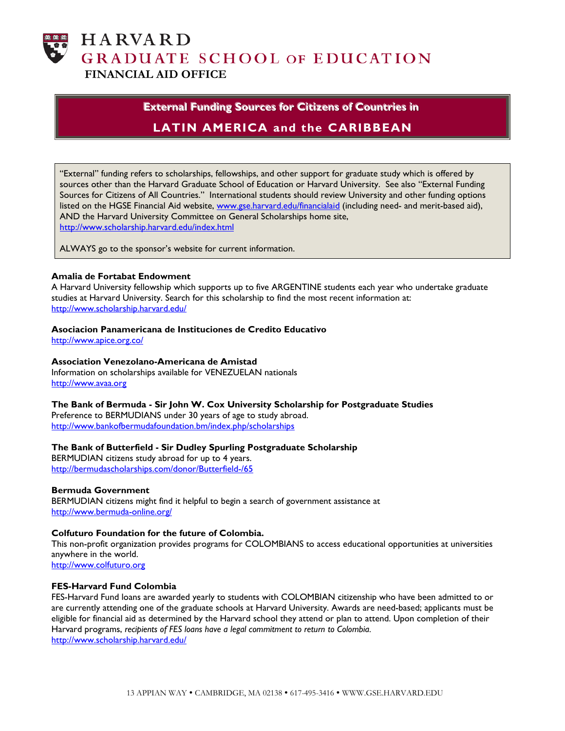

**HARVARD GRADUATE SCHOOL OF EDUCATION FINANCIAL AID OFFICE**

## **External Funding Sources for Citizens of Countries in LATIN AMERICA and the CARIBBEAN**

"External" funding refers to scholarships, fellowships, and other support for graduate study which is offered by sources other than the Harvard Graduate School of Education or Harvard University. See also "External Funding Sources for Citizens of All Countries." International students should review University and other funding options listed on the HGSE Financial Aid website, [www.gse.harvard.edu/financialaid](http://www.gse.harvard.edu/financialaid) (including need- and merit-based aid), AND the Harvard University Committee on General Scholarships home site, <http://www.scholarship.harvard.edu/index.html>

ALWAYS go to the sponsor's website for current information.

## **Amalia de Fortabat Endowment**

A Harvard University fellowship which supports up to five ARGENTINE students each year who undertake graduate studies at Harvard University. Search for this scholarship to find the most recent information at: <http://www.scholarship.harvard.edu/>

### **Asociacion Panamericana de Instituciones de Credito Educativo**

<http://www.apice.org.co/>

### **Association Venezolano-Americana de Amistad**

Information on scholarships available for VENEZUELAN nationals [http://www.avaa.org](http://www.avaa.org/) 

## **The Bank of Bermuda - Sir John W. Cox University Scholarship for Postgraduate Studies**

Preference to BERMUDIANS under 30 years of age to study abroad. <http://www.bankofbermudafoundation.bm/index.php/scholarships>

## **The Bank of Butterfield - Sir Dudley Spurling Postgraduate Scholarship**

BERMUDIAN citizens study abroad for up to 4 years. <http://bermudascholarships.com/donor/Butterfield-/65>

## **Bermuda Government**

BERMUDIAN citizens might find it helpful to begin a search of government assistance at <http://www.bermuda-online.org/>

## **Colfuturo Foundation for the future of Colombia.**

This non-profit organization provides programs for COLOMBIANS to access educational opportunities at universities anywhere in the world.

[http://www.colfuturo.org](http://www.colfuturo.org/) 

### **FES-Harvard Fund Colombia**

FES-Harvard Fund loans are awarded yearly to students with COLOMBIAN citizenship who have been admitted to or are currently attending one of the graduate schools at Harvard University. Awards are need-based; applicants must be eligible for financial aid as determined by the Harvard school they attend or plan to attend. Upon completion of their Harvard programs, *recipients of FES loans have a legal commitment to return to Colombia.*  <http://www.scholarship.harvard.edu/>